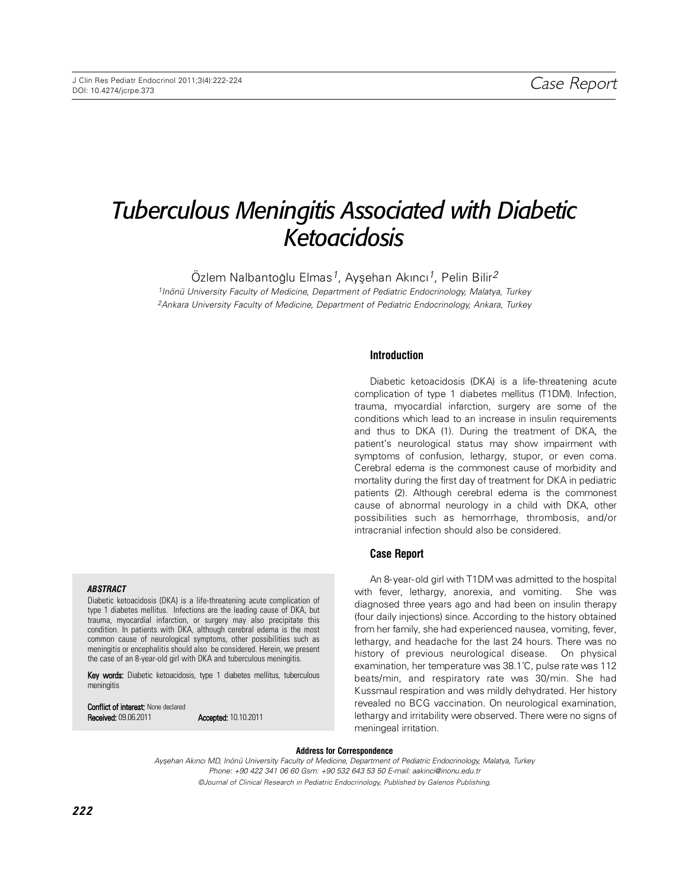# *Tuberculous Meningitis Associated with Diabetic Ketoacidosis*

Özlem Nalbantoğlu Elmas<sup>1</sup>, Ayşehan Akıncı<sup>1</sup>, Pelin Bilir<sup>2</sup> 1Inönü University Faculty of Medicine, Department of Pediatric Endocrinology, Malatya, Turkey 2Ankara University Faculty of Medicine, Department of Pediatric Endocrinology, Ankara, Turkey

## **In tro duc ti on**

Diabetic ketoacidosis (DKA) is a life-threatening acute complication of type 1 diabetes mellitus (T1DM). Infection, trauma, myocardial infarction, surgery are some of the conditions which lead to an increase in insulin requirements and thus to DKA (1). During the treatment of DKA, the patient's neurological status may show impairment with symptoms of confusion, lethargy, stupor, or even coma. Cerebral edema is the commonest cause of morbidity and mortality during the first day of treatment for DKA in pediatric patients (2). Although cerebral edema is the commonest cause of abnormal neurology in a child with DKA, other possibilities such as hemorrhage, thrombosis, and/or intracranial infection should also be considered.

## **Case Report**

An 8-year-old girl with T1DM was admitted to the hospital with fever, lethargy, anorexia, and vomiting. She was diagnosed three years ago and had been on insulin therapy (four daily injections) since. According to the history obtained from her family, she had experienced nausea, vomiting, fever, lethargy, and headache for the last 24 hours. There was no history of previous neurological disease. On physical examination, her temperature was 38.1˚C, pulse rate was 112 beats/min, and respiratory rate was 30/min. She had Kussmaul respiration and was mildly dehydrated. Her history revealed no BCG vaccination. On neurological examination, lethargy and irritability were observed. There were no signs of meningeal irritation.

#### **Address for Correspondence**

Ayşehan Akıncı MD, Inönü University Faculty of Medicine, Department of Pediatric Endocrinology, Malatya, Turkey Phone: +90 422 341 06 60 Gsm: +90 532 643 53 50 E-mail: aakinci@inonu.edu.tr ©Journal of Clinical Research in Pediatric Endocrinology, Published by Galenos Publishing.

#### *ABS TRACT*

Diabetic ketoacidosis (DKA) is a life-threatening acute complication of type 1 diabetes mellitus. Infections are the leading cause of DKA, but trauma, myocardial infarction, or surgery may also precipitate this condition. In patients with DKA, although cerebral edema is the most common cause of neurological symptoms, other possibilities such as meningitis or encephalitis should also be considered. Herein, we present the case of an 8-year-old girl with DKA and tuberculous meningitis.

Key words: Diabetic ketoacidosis, type 1 diabetes mellitus, tuberculous meningitis

Conflict of interest: None declared **Received: 09.06.2011 Accepted: 10.10.2011**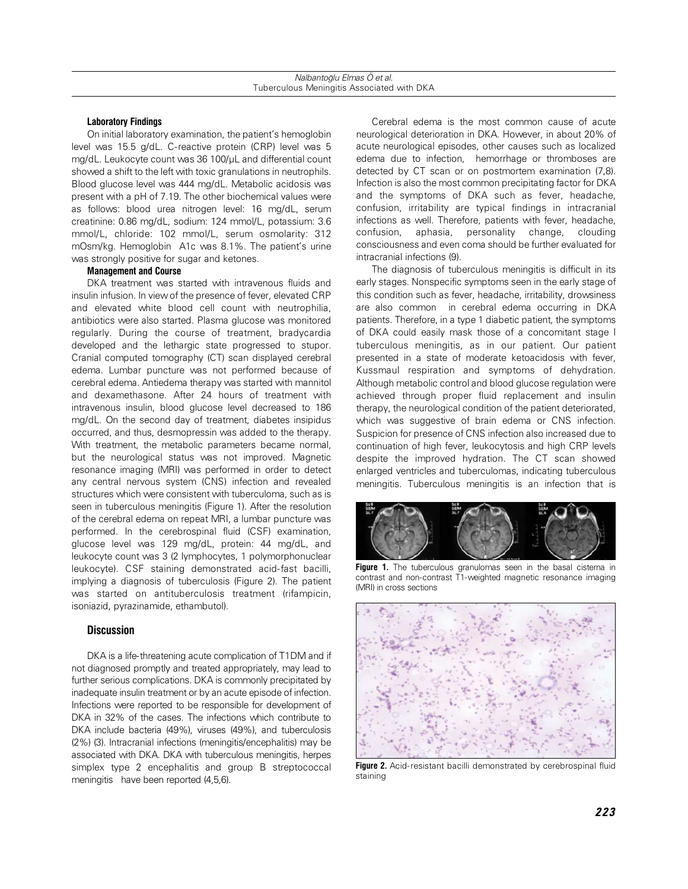## **Laboratory Findings**

On initial laboratory examination, the patient's hemoglobin level was 15.5 g/dL. C-reactive protein (CRP) level was 5 mg/dL. Leukocyte count was 36 100/μL and differential count showed a shift to the left with toxic granulations in neutrophils. Blood glucose level was 444 mg/dL. Metabolic acidosis was present with a pH of 7.19. The other biochemical values were as follows: blood urea nitrogen level: 16 mg/dL, serum creatinine: 0.86 mg/dL, sodium: 124 mmol/L, potassium: 3.6 mmol/L, chloride: 102 mmol/L, serum osmolarity: 312 mOsm/kg. Hemoglobin A1c was 8.1%. The patient's urine was strongly positive for sugar and ketones.

## **Management and Course**

DKA treatment was started with intravenous fluids and insulin infusion. In view of the presence of fever, elevated CRP and elevated white blood cell count with neutrophilia, antibiotics were also started. Plasma glucose was monitored regularly. During the course of treatment, bradycardia developed and the lethargic state progressed to stupor. Cranial computed tomography (CT) scan displayed cerebral edema. Lumbar puncture was not performed because of cerebral edema. Antiedema therapy was started with mannitol and dexamethasone. After 24 hours of treatment with intravenous insulin, blood glucose level decreased to 186 mg/dL. On the second day of treatment, diabetes insipidus occurred, and thus, desmopressin was added to the therapy. With treatment, the metabolic parameters became normal, but the neurological status was not improved. Magnetic resonance imaging (MRI) was performed in order to detect any central nervous system (CNS) infection and revealed structures which were consistent with tuberculoma, such as is seen in tuberculous meningitis (Figure 1). After the resolution of the cerebral edema on repeat MRI, a lumbar puncture was performed. In the cerebrospinal fluid (CSF) examination, glucose level was 129 mg/dL, protein: 44 mg/dL, and leukocyte count was 3 (2 lymphocytes, 1 polymorphonuclear leukocyte). CSF staining demonstrated acid-fast bacilli, implying a diagnosis of tuberculosis (Figure 2). The patient was started on antituberculosis treatment (rifampicin, isoniazid, pyrazinamide, ethambutol).

### **Discussion**

DKA is a life-threatening acute complication of T1DM and if not diagnosed promptly and treated appropriately, may lead to further serious complications. DKA is commonly precipitated by inadequate insulin treatment or by an acute episode of infection. Infections were reported to be responsible for development of DKA in 32% of the cases. The infections which contribute to DKA include bacteria (49%), viruses (49%), and tuberculosis (2%) (3). Intracranial infections (meningitis/encephalitis) may be associated with DKA. DKA with tuberculous meningitis, herpes simplex type 2 encephalitis and group B streptococcal meningitis have been reported (4.5.6).

Cerebral edema is the most common cause of acute neurological deterioration in DKA. However, in about 20% of acute neurological episodes, other causes such as localized edema due to infection, hemorrhage or thromboses are detected by CT scan or on postmortem examination (7,8). Infection is also the most common precipitating factor for DKA and the symptoms of DKA such as fever, headache, confusion, irritability are typical findings in intracranial infections as well. Therefore, patients with fever, headache, confusion, aphasia, personality change, clouding consciousness and even coma should be further evaluated for intracranial infections (9).

The diagnosis of tuberculous meningitis is difficult in its early stages. Nonspecific symptoms seen in the early stage of this condition such as fever, headache, irritability, drowsiness are also common in cerebral edema occurring in DKA patients. Therefore, in a type 1 diabetic patient, the symptoms of DKA could easily mask those of a concomitant stage I tuberculous meningitis, as in our patient. Our patient presented in a state of moderate ketoacidosis with fever, Kussmaul respiration and symptoms of dehydration. Although metabolic control and blood glucose regulation were achieved through proper fluid replacement and insulin therapy, the neurological condition of the patient deteriorated, which was suggestive of brain edema or CNS infection. Suspicion for presence of CNS infection also increased due to continuation of high fever, leukocytosis and high CRP levels despite the improved hydration. The CT scan showed enlarged ventricles and tuberculomas, indicating tuberculous meningitis. Tuberculous meningitis is an infection that is



Figure 1. The tuberculous granulomas seen in the basal cisterna in contrast and non-contrast T1-weighted magnetic resonance imaging (MRI) in cross sections



**Figure 2.** Acid-resistant bacilli demonstrated by cerebrospinal fluid staining